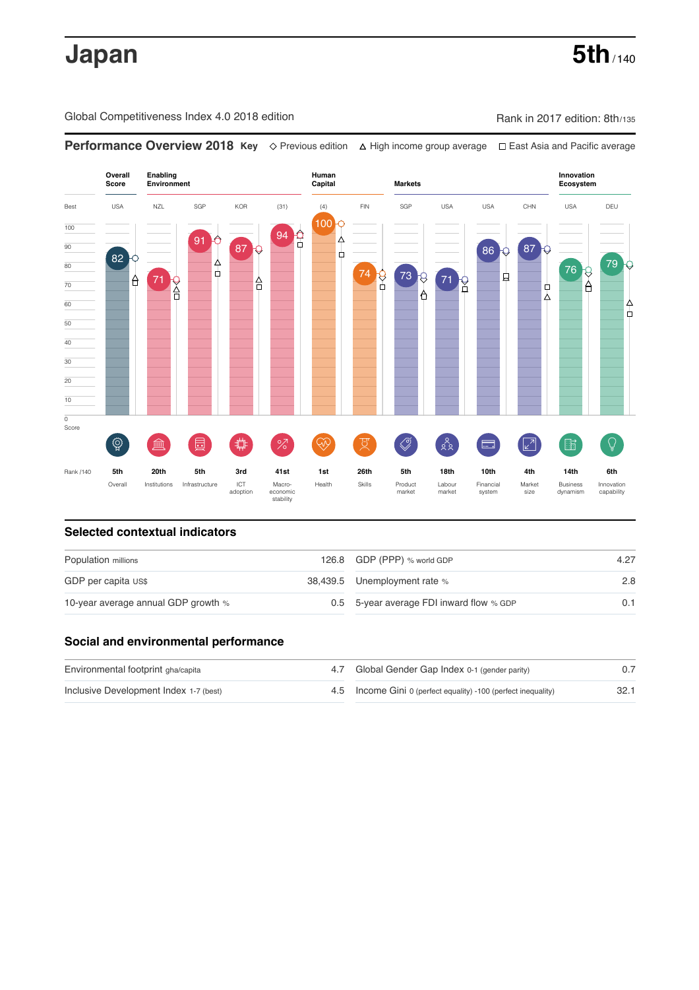# **Japan** 5th<sub>/140</sub>

Global Competitiveness Index 4.0 2018 edition **Rank in 2017 edition: 8th/135** Competitiveness Index 4.0 2018 edition



### **Selected contextual indicators**

| Population millions                 |  | 126.8 GDP (PPP) % world GDP              | 4.27 |
|-------------------------------------|--|------------------------------------------|------|
| GDP per capita US\$                 |  | 38,439.5 Unemployment rate %             | 2.8  |
| 10-year average annual GDP growth % |  | 0.5 5-year average FDI inward flow % GDP | 0.1  |

## **Social and environmental performance**

| Environmental footprint gha/capita     | 4.7 Global Gender Gap Index 0-1 (gender parity)                |      |
|----------------------------------------|----------------------------------------------------------------|------|
| Inclusive Development Index 1-7 (best) | 4.5 Income Gini 0 (perfect equality) -100 (perfect inequality) | 32.1 |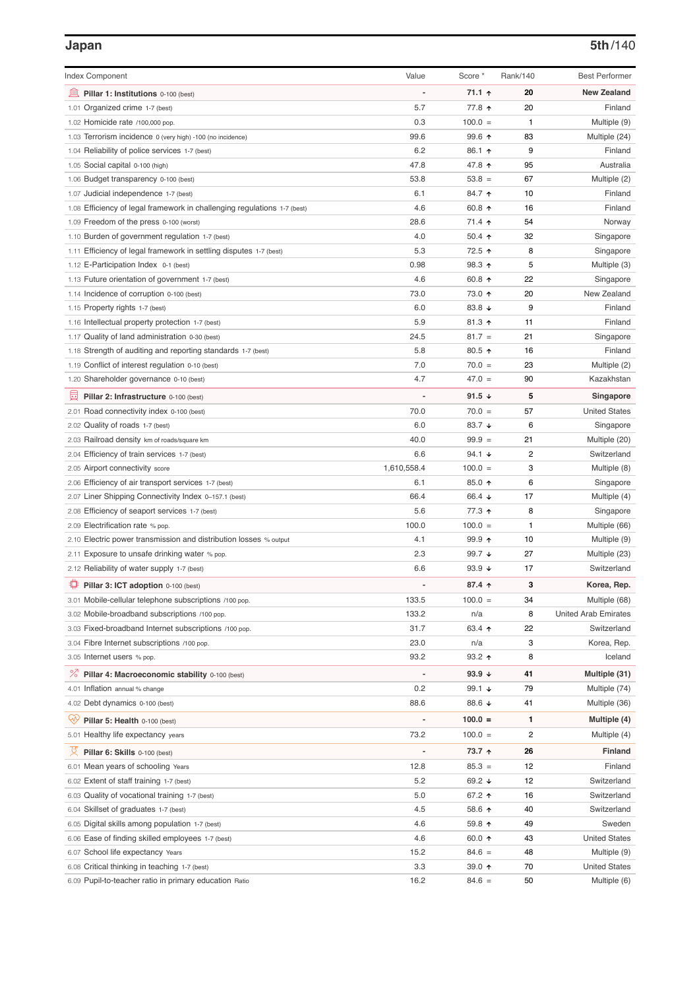| <b>Index Component</b>                                                                      | Value                    | Score *         | Rank/140 | <b>Best Performer</b> |
|---------------------------------------------------------------------------------------------|--------------------------|-----------------|----------|-----------------------|
| 皿<br>Pillar 1: Institutions 0-100 (best)                                                    | ÷,                       | 71.1 ተ          | 20       | <b>New Zealand</b>    |
| 1.01 Organized crime 1-7 (best)                                                             | 5.7                      | 77.8 ተ          | 20       | Finland               |
| 1.02 Homicide rate /100,000 pop.                                                            | 0.3                      | $100.0 =$       | 1        | Multiple (9)          |
| 1.03 Terrorism incidence 0 (very high) -100 (no incidence)                                  | 99.6                     | 99.6 ↑          | 83       | Multiple (24)         |
| 1.04 Reliability of police services 1-7 (best)                                              | 6.2                      | 86.1 ↑          | 9        | Finland               |
| 1.05 Social capital 0-100 (high)                                                            | 47.8                     | 47.8 ↑          | 95       | Australia             |
| 1.06 Budget transparency 0-100 (best)                                                       | 53.8                     | $53.8 =$        | 67       | Multiple (2)          |
| 1.07 Judicial independence 1-7 (best)                                                       | 6.1                      | 84.7 ተ          | 10       | Finland               |
| 1.08 Efficiency of legal framework in challenging regulations 1-7 (best)                    | 4.6                      | 60.8 ↑          | 16       | Finland               |
| 1.09 Freedom of the press 0-100 (worst)                                                     | 28.6                     | 71.4 ተ          | 54       | Norway                |
| 1.10 Burden of government regulation 1-7 (best)                                             | 4.0                      | $50.4$ 1        | 32       | Singapore             |
| 1.11 Efficiency of legal framework in settling disputes 1-7 (best)                          | 5.3                      | 72.5 ↑          | 8        | Singapore             |
| 1.12 E-Participation Index 0-1 (best)                                                       | 0.98                     | 98.3 ↑          | 5        | Multiple (3)          |
| 1.13 Future orientation of government 1-7 (best)                                            | 4.6                      | 60.8 ↑          | 22       | Singapore             |
| 1.14 Incidence of corruption 0-100 (best)                                                   | 73.0                     | 73.0 个          | 20       | New Zealand           |
| 1.15 Property rights 1-7 (best)                                                             | 6.0                      | 83.8 ↓          | 9        | Finland               |
| 1.16 Intellectual property protection 1-7 (best)                                            | 5.9                      | 81.3 个          | 11       | Finland               |
| 1.17 Quality of land administration 0-30 (best)                                             | 24.5                     | $81.7 =$        | 21       | Singapore             |
| 1.18 Strength of auditing and reporting standards 1-7 (best)                                | 5.8                      | 80.5 个          | 16       | Finland               |
| 1.19 Conflict of interest regulation 0-10 (best)                                            | 7.0                      | $70.0 =$        | 23       | Multiple (2)          |
| 1.20 Shareholder governance 0-10 (best)                                                     | 4.7                      | $47.0 =$        | 90       | Kazakhstan            |
| 員<br>Pillar 2: Infrastructure 0-100 (best)                                                  |                          | 91.5 $\sqrt{ }$ | 5        | Singapore             |
| 2.01 Road connectivity index 0-100 (best)                                                   | 70.0                     | $70.0 =$        | 57       | <b>United States</b>  |
| 2.02 Quality of roads 1-7 (best)                                                            | 6.0                      | 83.7 $\sqrt{ }$ | 6        | Singapore             |
|                                                                                             | 40.0                     | $99.9 =$        | 21       | Multiple (20)         |
| 2.03 Railroad density km of roads/square km<br>2.04 Efficiency of train services 1-7 (best) | 6.6                      | 94.1 $\sqrt{ }$ | 2        | Switzerland           |
| 2.05 Airport connectivity score                                                             | 1,610,558.4              | $100.0 =$       | 3        | Multiple (8)          |
| 2.06 Efficiency of air transport services 1-7 (best)                                        | 6.1                      | 85.0 ↑          | 6        | Singapore             |
| 2.07 Liner Shipping Connectivity Index 0-157.1 (best)                                       | 66.4                     | 66.4 ↓          | 17       | Multiple (4)          |
|                                                                                             | 5.6                      | 77.3 ↑          | 8        | Singapore             |
| 2.08 Efficiency of seaport services 1-7 (best)<br>2.09 Electrification rate % pop.          | 100.0                    | $100.0 =$       | 1        | Multiple (66)         |
| 2.10 Electric power transmission and distribution losses % output                           | 4.1                      | 99.9 个          | 10       | Multiple (9)          |
| Exposure to unsafe drinking water % pop.<br>2.11                                            | 2.3                      | 99.7 ↓          | 27       | Multiple (23)         |
| 2.12 Reliability of water supply 1-7 (best)                                                 | 6.6                      | 93.9 $\sqrt{ }$ | 17       | Switzerland           |
|                                                                                             |                          |                 |          |                       |
| ₽<br>Pillar 3: ICT adoption 0-100 (best)                                                    | $\overline{a}$           | 87.4 ተ          | 3        | Korea, Rep.           |
| 3.01 Mobile-cellular telephone subscriptions /100 pop.                                      | 133.5                    | $100.0 =$       | 34       | Multiple (68)         |
| 3.02 Mobile-broadband subscriptions /100 pop.                                               | 133.2                    | n/a             | 8        | United Arab Emirates  |
| 3.03 Fixed-broadband Internet subscriptions /100 pop.                                       | 31.7                     | 63.4 ↑          | 22       | Switzerland           |
| 3.04 Fibre Internet subscriptions /100 pop.                                                 | 23.0                     | n/a             | 3        | Korea, Rep.           |
| 3.05 Internet users % pop.                                                                  | 93.2                     | $93.2$ 1        | 8        | Iceland               |
| ℅<br>Pillar 4: Macroeconomic stability 0-100 (best)                                         | $\overline{\phantom{a}}$ | 93.9 $\sqrt{ }$ | 41       | Multiple (31)         |
| 4.01 Inflation annual % change                                                              | 0.2                      | 99.1 ↓          | 79       | Multiple (74)         |
| 4.02 Debt dynamics 0-100 (best)                                                             | 88.6                     | 88.6 ↓          | 41       | Multiple (36)         |
| Qiy<br>Pillar 5: Health 0-100 (best)                                                        | L                        | $100.0 =$       | 1        | Multiple (4)          |
| 5.01 Healthy life expectancy years                                                          | 73.2                     | $100.0 =$       | 2        | Multiple (4)          |
| 섯<br>Pillar 6: Skills 0-100 (best)                                                          | $\overline{\phantom{m}}$ | 73.7 ↑          | 26       | <b>Finland</b>        |
| 6.01 Mean years of schooling Years                                                          | 12.8                     | $85.3 =$        | 12       | Finland               |
| 6.02 Extent of staff training 1-7 (best)                                                    | 5.2                      | 69.2 ↓          | 12       | Switzerland           |
| 6.03 Quality of vocational training 1-7 (best)                                              | 5.0                      | 67.2 ↑          | 16       | Switzerland           |
| 6.04 Skillset of graduates 1-7 (best)                                                       | 4.5                      | 58.6 个          | 40       | Switzerland           |
| 6.05 Digital skills among population 1-7 (best)                                             | 4.6                      | 59.8 个          | 49       | Sweden                |
| 6.06 Ease of finding skilled employees 1-7 (best)                                           | 4.6                      | 60.0 ↑          | 43       | <b>United States</b>  |
| 6.07 School life expectancy Years                                                           | 15.2                     | $84.6 =$        | 48       | Multiple (9)          |
| 6.08 Critical thinking in teaching 1-7 (best)                                               | 3.3                      | 39.0 ↑          | 70       | <b>United States</b>  |
| 6.09 Pupil-to-teacher ratio in primary education Ratio                                      | 16.2                     | $84.6 =$        | 50       | Multiple (6)          |